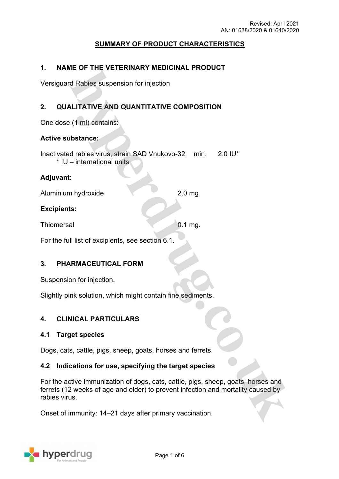# **SUMMARY OF PRODUCT CHARACTERISTICS**

# **1. NAME OF THE VETERINARY MEDICINAL PRODUCT**

Versiguard Rabies suspension for injection

# **2. QUALITATIVE AND QUANTITATIVE COMPOSITION**

One dose (1 ml) contains:

# **Active substance:**

Inactivated rabies virus, strain SAD Vnukovo-32 min. 2.0 IU\* \* IU – international units

### **Adjuvant:**

Aluminium hydroxide 2.0 mg

### **Excipients:**

Thiomersal 0.1 mg.

For the full list of excipients, see section 6.1.

### **3. PHARMACEUTICAL FORM**

Suspension for injection.

Slightly pink solution, which might contain fine sediments.

### **4. CLINICAL PARTICULARS**

### **4.1 Target species**

Dogs, cats, cattle, pigs, sheep, goats, horses and ferrets.

### **4.2 Indications for use, specifying the target species**

For the active immunization of dogs, cats, cattle, pigs, sheep, goats, horses and ferrets (12 weeks of age and older) to prevent infection and mortality caused by rabies virus.

Onset of immunity: 14–21 days after primary vaccination.

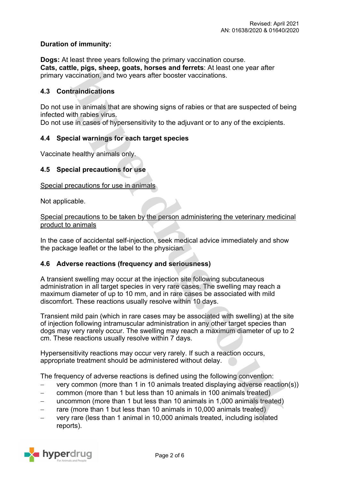# **Duration of immunity:**

**Dogs:** At least three years following the primary vaccination course. **Cats, cattle, pigs, sheep, goats, horses and ferrets**: At least one year after primary vaccination, and two years after booster vaccinations.

# **4.3 Contraindications**

Do not use in animals that are showing signs of rabies or that are suspected of being infected with rabies virus.

Do not use in cases of hypersensitivity to the adjuvant or to any of the excipients.

# **4.4 Special warnings for each target species**

Vaccinate healthy animals only.

### **4.5 Special precautions for use**

Special precautions for use in animals

Not applicable.

Special precautions to be taken by the person administering the veterinary medicinal product to animals

In the case of accidental self-injection, seek medical advice immediately and show the package leaflet or the label to the physician*.*

# **4.6 Adverse reactions (frequency and seriousness)**

A transient swelling may occur at the injection site following subcutaneous administration in all target species in very rare cases. The swelling may reach a maximum diameter of up to 10 mm, and in rare cases be associated with mild discomfort. These reactions usually resolve within 10 days.

Transient mild pain (which in rare cases may be associated with swelling) at the site of injection following intramuscular administration in any other target species than dogs may very rarely occur. The swelling may reach a maximum diameter of up to 2 cm. These reactions usually resolve within 7 days.

Hypersensitivity reactions may occur very rarely. If such a reaction occurs, appropriate treatment should be administered without delay.

The frequency of adverse reactions is defined using the following convention:

- very common (more than 1 in 10 animals treated displaying adverse reaction(s))
- common (more than 1 but less than 10 animals in 100 animals treated)
- uncommon (more than 1 but less than 10 animals in 1,000 animals treated)
- $-$  rare (more than 1 but less than 10 animals in 10,000 animals treated)
- very rare (less than 1 animal in 10,000 animals treated, including isolated reports).

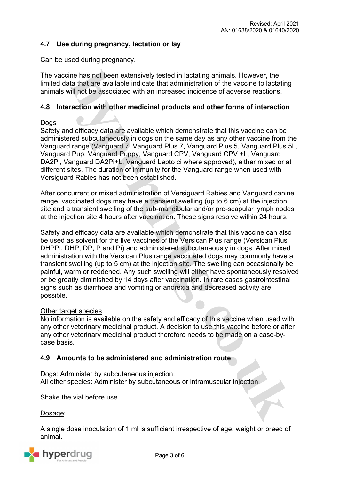# **4.7 Use during pregnancy, lactation or lay**

Can be used during pregnancy.

The vaccine has not been extensively tested in lactating animals. However, the limited data that are available indicate that administration of the vaccine to lactating animals will not be associated with an increased incidence of adverse reactions.

## **4.8 Interaction with other medicinal products and other forms of interaction**

### **Dogs**

Safety and efficacy data are available which demonstrate that this vaccine can be administered subcutaneously in dogs on the same day as any other vaccine from the Vanguard range (Vanguard 7, Vanguard Plus 7, Vanguard Plus 5, Vanguard Plus 5L, Vanguard Pup, Vanguard Puppy, Vanguard CPV, Vanguard CPV +L, Vanguard DA2Pi, Vanguard DA2Pi+L, Vanguard Lepto ci where approved), either mixed or at different sites. The duration of immunity for the Vanguard range when used with Versiguard Rabies has not been established.

After concurrent or mixed administration of Versiguard Rabies and Vanguard canine range, vaccinated dogs may have a transient swelling (up to 6 cm) at the injection site and a transient swelling of the sub-mandibular and/or pre-scapular lymph nodes at the injection site 4 hours after vaccination. These signs resolve within 24 hours.

Safety and efficacy data are available which demonstrate that this vaccine can also be used as solvent for the live vaccines of the Versican Plus range (Versican Plus DHPPi, DHP, DP, P and Pi) and administered subcutaneously in dogs. After mixed administration with the Versican Plus range vaccinated dogs may commonly have a transient swelling (up to 5 cm) at the injection site. The swelling can occasionally be painful, warm or reddened. Any such swelling will either have spontaneously resolved or be greatly diminished by 14 days after vaccination. In rare cases gastrointestinal signs such as diarrhoea and vomiting or anorexia and decreased activity are possible.

### Other target species

No information is available on the safety and efficacy of this vaccine when used with any other veterinary medicinal product. A decision to use this vaccine before or after any other veterinary medicinal product therefore needs to be made on a case-bycase basis.

# **4.9 Amounts to be administered and administration route**

Dogs: Administer by subcutaneous injection. All other species: Administer by subcutaneous or intramuscular injection.

Shake the vial before use.

Dosage:

A single dose inoculation of 1 ml is sufficient irrespective of age, weight or breed of animal.

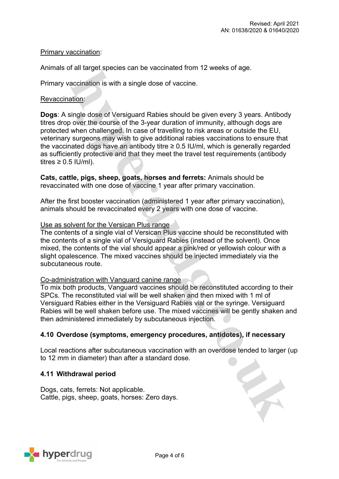# Primary vaccination:

Animals of all target species can be vaccinated from 12 weeks of age.

Primary vaccination is with a single dose of vaccine.

## Revaccination:

**Dogs**: A single dose of Versiguard Rabies should be given every 3 years. Antibody titres drop over the course of the 3-year duration of immunity, although dogs are protected when challenged. In case of travelling to risk areas or outside the EU, veterinary surgeons may wish to give additional rabies vaccinations to ensure that the vaccinated dogs have an antibody titre  $\geq 0.5$  IU/ml, which is generally regarded as sufficiently protective and that they meet the travel test requirements (antibody titres  $\geq 0.5$  IU/ml).

**Cats, cattle, pigs, sheep, goats, horses and ferrets:** Animals should be revaccinated with one dose of vaccine 1 year after primary vaccination.

After the first booster vaccination (administered 1 year after primary vaccination), animals should be revaccinated every 2 years with one dose of vaccine.

#### Use as solvent for the Versican Plus range

The contents of a single vial of Versican Plus vaccine should be reconstituted with the contents of a single vial of Versiguard Rabies (instead of the solvent). Once mixed, the contents of the vial should appear a pink/red or yellowish colour with a slight opalescence. The mixed vaccines should be injected immediately via the subcutaneous route.

### Co-administration with Vanguard canine range

To mix both products, Vanguard vaccines should be reconstituted according to their SPCs. The reconstituted vial will be well shaken and then mixed with 1 ml of Versiguard Rabies either in the Versiguard Rabies vial or the syringe. Versiguard Rabies will be well shaken before use. The mixed vaccines will be gently shaken and then administered immediately by subcutaneous injection.

## **4.10 Overdose (symptoms, emergency procedures, antidotes), if necessary**

Local reactions after subcutaneous vaccination with an overdose tended to larger (up to 12 mm in diameter) than after a standard dose.

### **4.11 Withdrawal period**

Dogs, cats, ferrets: Not applicable. Cattle, pigs, sheep, goats, horses: Zero days.

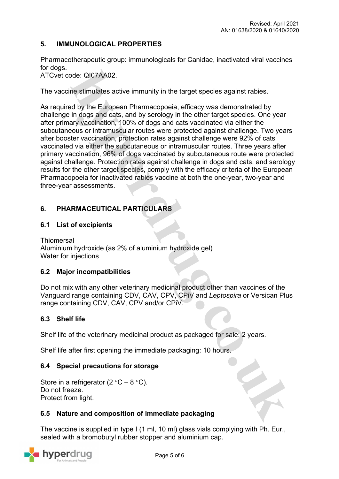# **5. IMMUNOLOGICAL PROPERTIES**

Pharmacotherapeutic group: immunologicals for Canidae, inactivated viral vaccines for dogs.

ATCvet code: QI07AA02.

The vaccine stimulates active immunity in the target species against rabies.

As required by the European Pharmacopoeia, efficacy was demonstrated by challenge in dogs and cats, and by serology in the other target species. One year after primary vaccination, 100% of dogs and cats vaccinated via either the subcutaneous or intramuscular routes were protected against challenge. Two years after booster vaccination, protection rates against challenge were 92% of cats vaccinated via either the subcutaneous or intramuscular routes. Three years after primary vaccination, 96% of dogs vaccinated by subcutaneous route were protected against challenge. Protection rates against challenge in dogs and cats, and serology results for the other target species, comply with the efficacy criteria of the European Pharmacopoeia for inactivated rabies vaccine at both the one-year, two-year and three-year assessments.

# **6. PHARMACEUTICAL PARTICULARS**

# **6.1 List of excipients**

**Thiomersal** Aluminium hydroxide (as 2% of aluminium hydroxide gel) Water for injections

# **6.2 Major incompatibilities**

Do not mix with any other veterinary medicinal product other than vaccines of the Vanguard range containing CDV, CAV, CPV, CPiV and *Leptospira* or Versican Plus range containing CDV, CAV, CPV and/or CPiV.

# **6.3 Shelf life**

Shelf life of the veterinary medicinal product as packaged for sale: 2 years.

Shelf life after first opening the immediate packaging: 10 hours.

# **6.4 Special precautions for storage**

Store in a refrigerator (2  $\degree$ C – 8  $\degree$ C). Do not freeze. Protect from light.

### **6.5 Nature and composition of immediate packaging**

The vaccine is supplied in type I (1 ml, 10 ml) glass vials complying with Ph. Eur., sealed with a bromobutyl rubber stopper and aluminium cap.